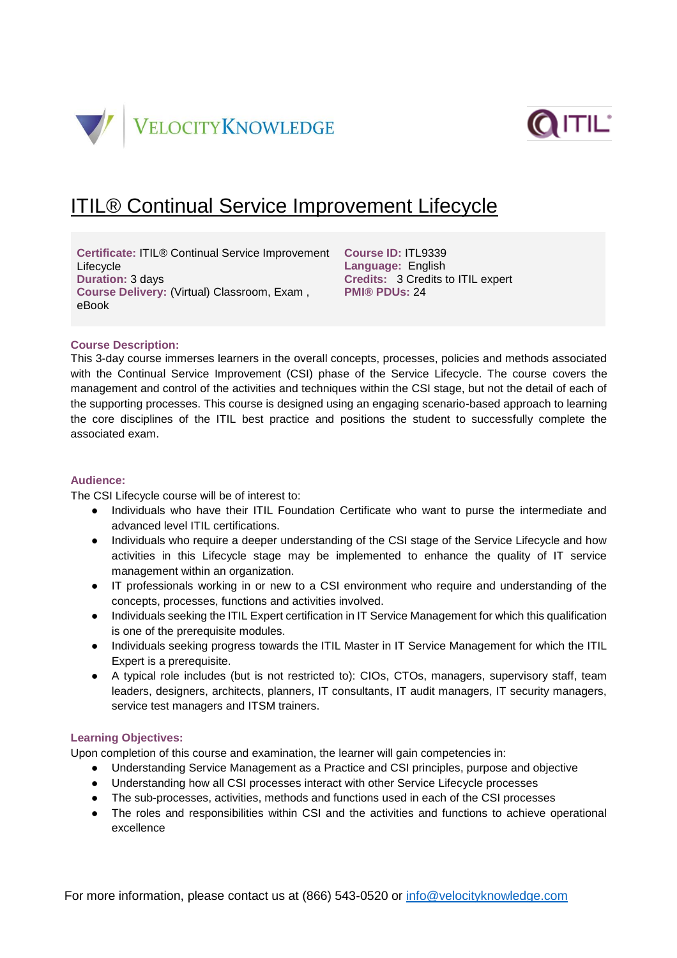



# ITIL® Continual Service Improvement Lifecycle

**Certificate:** ITIL® Continual Service Improvement **Course ID:** ITL9339 Lifecycle **Duration:** 3 days **Course Delivery:** (Virtual) Classroom, Exam , **PMI® PDUs:** 24 eBook

**Language:** English **Credits:** 3 Credits to ITIL expert

## **Course Description:**

This 3-day course immerses learners in the overall concepts, processes, policies and methods associated with the Continual Service Improvement (CSI) phase of the Service Lifecycle. The course covers the management and control of the activities and techniques within the CSI stage, but not the detail of each of the supporting processes. This course is designed using an engaging scenario-based approach to learning the core disciplines of the ITIL best practice and positions the student to successfully complete the associated exam.

# **Audience:**

The CSI Lifecycle course will be of interest to:

- Individuals who have their ITIL Foundation Certificate who want to purse the intermediate and advanced level ITIL certifications.
- Individuals who require a deeper understanding of the CSI stage of the Service Lifecycle and how activities in this Lifecycle stage may be implemented to enhance the quality of IT service management within an organization.
- IT professionals working in or new to a CSI environment who require and understanding of the concepts, processes, functions and activities involved.
- Individuals seeking the ITIL Expert certification in IT Service Management for which this qualification is one of the prerequisite modules.
- Individuals seeking progress towards the ITIL Master in IT Service Management for which the ITIL Expert is a prerequisite.
- A typical role includes (but is not restricted to): CIOs, CTOs, managers, supervisory staff, team leaders, designers, architects, planners, IT consultants, IT audit managers, IT security managers, service test managers and ITSM trainers.

## **Learning Objectives:**

Upon completion of this course and examination, the learner will gain competencies in:

- Understanding Service Management as a Practice and CSI principles, purpose and objective
- Understanding how all CSI processes interact with other Service Lifecycle processes
- The sub-processes, activities, methods and functions used in each of the CSI processes
- The roles and responsibilities within CSI and the activities and functions to achieve operational excellence

For more information, please contact us at (866) 543-0520 or [info@velocityknowledge.com](mailto:info@velocityknowledge.com)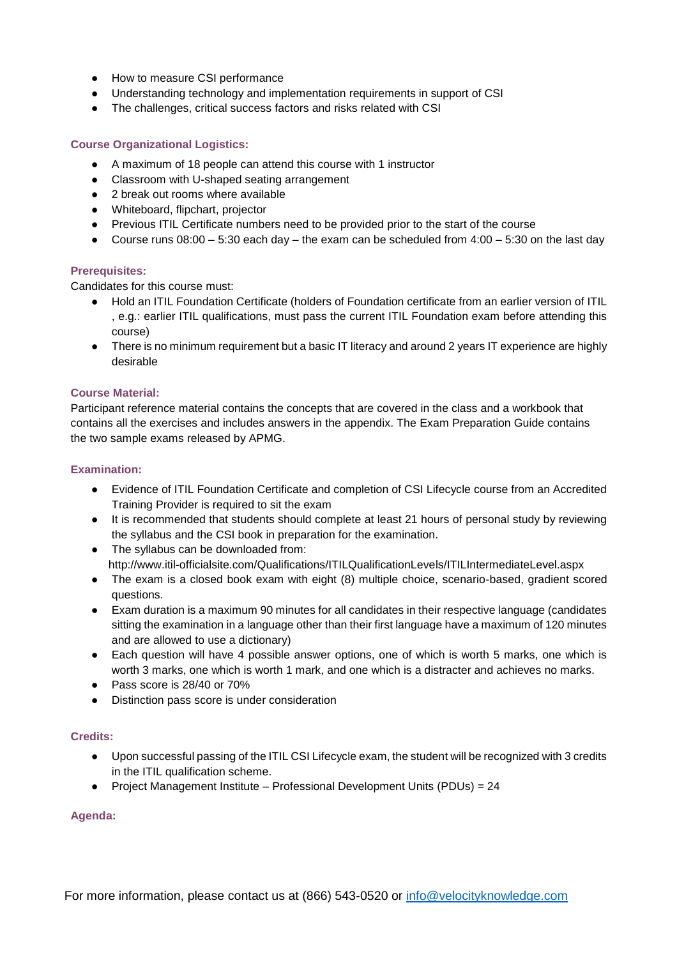- How to measure CSI performance
- Understanding technology and implementation requirements in support of CSI
- The challenges, critical success factors and risks related with CSI

## **Course Organizational Logistics:**

- A maximum of 18 people can attend this course with 1 instructor
- Classroom with U-shaped seating arrangement
- 2 break out rooms where available
- Whiteboard, flipchart, projector
- Previous ITIL Certificate numbers need to be provided prior to the start of the course
- Course runs  $08:00 5:30$  each day the exam can be scheduled from  $4:00 5:30$  on the last day

# **Prerequisites:**

Candidates for this course must:

- Hold an ITIL Foundation Certificate (holders of Foundation certificate from an earlier version of ITIL , e.g.: earlier ITIL qualifications, must pass the current ITIL Foundation exam before attending this course)
- There is no minimum requirement but a basic IT literacy and around 2 years IT experience are highly desirable

## **Course Material:**

Participant reference material contains the concepts that are covered in the class and a workbook that contains all the exercises and includes answers in the appendix. The Exam Preparation Guide contains the two sample exams released by APMG.

## **Examination:**

- Evidence of ITIL Foundation Certificate and completion of CSI Lifecycle course from an Accredited Training Provider is required to sit the exam
- It is recommended that students should complete at least 21 hours of personal study by reviewing the syllabus and the CSI book in preparation for the examination.
- The syllabus can be downloaded from: http://www.itil-officialsite.com/Qualifications/ITILQualificationLevels/ITILIntermediateLevel.aspx
- The exam is a closed book exam with eight (8) multiple choice, scenario-based, gradient scored questions.
- Exam duration is a maximum 90 minutes for all candidates in their respective language (candidates sitting the examination in a language other than their first language have a maximum of 120 minutes and are allowed to use a dictionary)
- Each question will have 4 possible answer options, one of which is worth 5 marks, one which is worth 3 marks, one which is worth 1 mark, and one which is a distracter and achieves no marks.
- Pass score is 28/40 or 70%
- Distinction pass score is under consideration

## **Credits:**

- Upon successful passing of the ITIL CSI Lifecycle exam, the student will be recognized with 3 credits in the ITIL qualification scheme.
- Project Management Institute Professional Development Units (PDUs) = 24

## **Agenda:**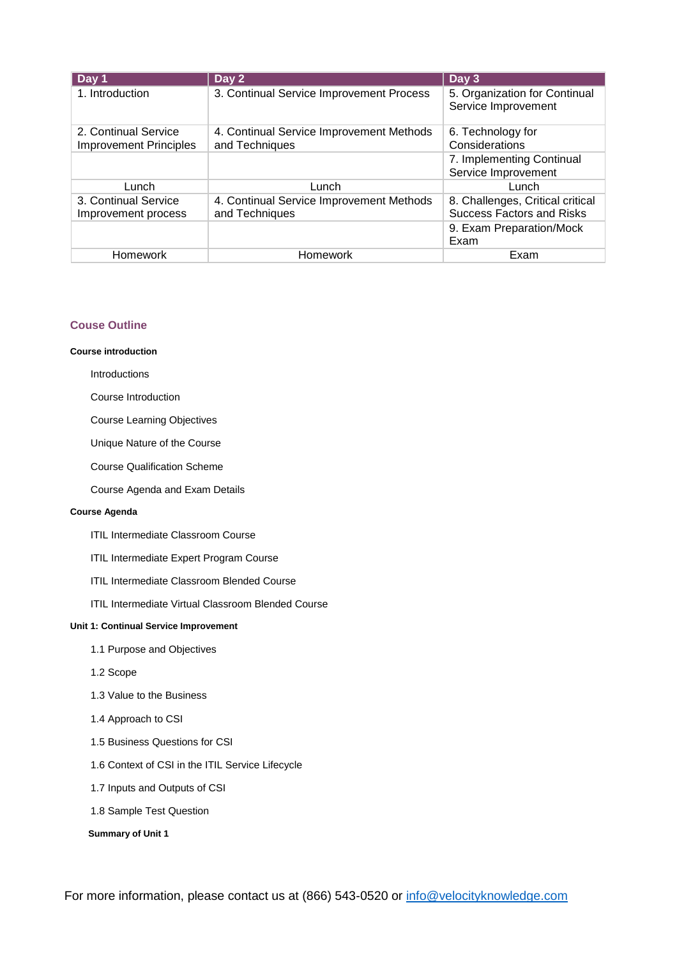| Day 1                                                 | Day 2                                                      | Day 3                                                                |
|-------------------------------------------------------|------------------------------------------------------------|----------------------------------------------------------------------|
| 1. Introduction                                       | 3. Continual Service Improvement Process                   | 5. Organization for Continual<br>Service Improvement                 |
| 2. Continual Service<br><b>Improvement Principles</b> | 4. Continual Service Improvement Methods<br>and Techniques | 6. Technology for<br>Considerations                                  |
|                                                       |                                                            | 7. Implementing Continual<br>Service Improvement                     |
| Lunch                                                 | Lunch                                                      | Lunch                                                                |
| 3. Continual Service<br>Improvement process           | 4. Continual Service Improvement Methods<br>and Techniques | 8. Challenges, Critical critical<br><b>Success Factors and Risks</b> |
|                                                       |                                                            | 9. Exam Preparation/Mock<br>Exam                                     |
| Homework                                              | Homework                                                   | Exam                                                                 |

## **Couse Outline**

#### **Course introduction**

Introductions

## Course Introduction

Course Learning Objectives

Unique Nature of the Course

Course Qualification Scheme

Course Agenda and Exam Details

## **Course Agenda**

ITIL Intermediate Classroom Course

- ITIL Intermediate Expert Program Course
- ITIL Intermediate Classroom Blended Course
- ITIL Intermediate Virtual Classroom Blended Course

#### **Unit 1: Continual Service Improvement**

- 1.1 Purpose and Objectives
- 1.2 Scope
- 1.3 Value to the Business
- 1.4 Approach to CSI
- 1.5 Business Questions for CSI
- 1.6 Context of CSI in the ITIL Service Lifecycle
- 1.7 Inputs and Outputs of CSI
- 1.8 Sample Test Question

#### **Summary of Unit 1**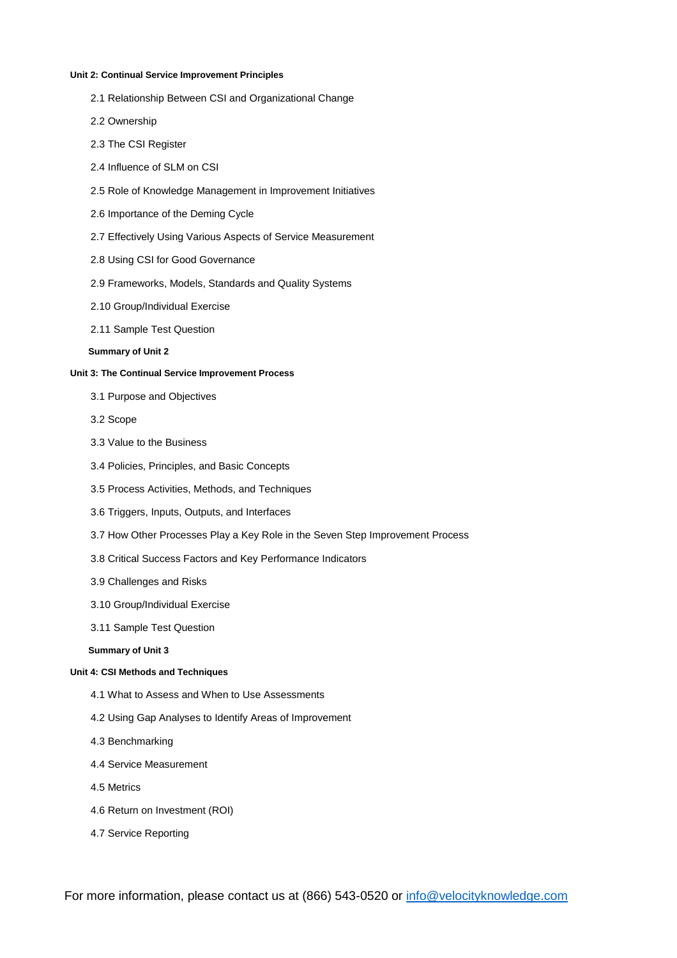#### **Unit 2: Continual Service Improvement Principles**

- 2.1 Relationship Between CSI and Organizational Change
- 2.2 Ownership
- 2.3 The CSI Register
- 2.4 Influence of SLM on CSI
- 2.5 Role of Knowledge Management in Improvement Initiatives
- 2.6 Importance of the Deming Cycle
- 2.7 Effectively Using Various Aspects of Service Measurement
- 2.8 Using CSI for Good Governance
- 2.9 Frameworks, Models, Standards and Quality Systems
- 2.10 Group/Individual Exercise
- 2.11 Sample Test Question

## **Summary of Unit 2**

#### **Unit 3: The Continual Service Improvement Process**

- 3.1 Purpose and Objectives
- 3.2 Scope
- 3.3 Value to the Business
- 3.4 Policies, Principles, and Basic Concepts
- 3.5 Process Activities, Methods, and Techniques
- 3.6 Triggers, Inputs, Outputs, and Interfaces
- 3.7 How Other Processes Play a Key Role in the Seven Step Improvement Process
- 3.8 Critical Success Factors and Key Performance Indicators
- 3.9 Challenges and Risks
- 3.10 Group/Individual Exercise
- 3.11 Sample Test Question

### **Summary of Unit 3**

#### **Unit 4: CSI Methods and Techniques**

- 4.1 What to Assess and When to Use Assessments
- 4.2 Using Gap Analyses to Identify Areas of Improvement
- 4.3 Benchmarking
- 4.4 Service Measurement
- 4.5 Metrics
- 4.6 Return on Investment (ROI)
- 4.7 Service Reporting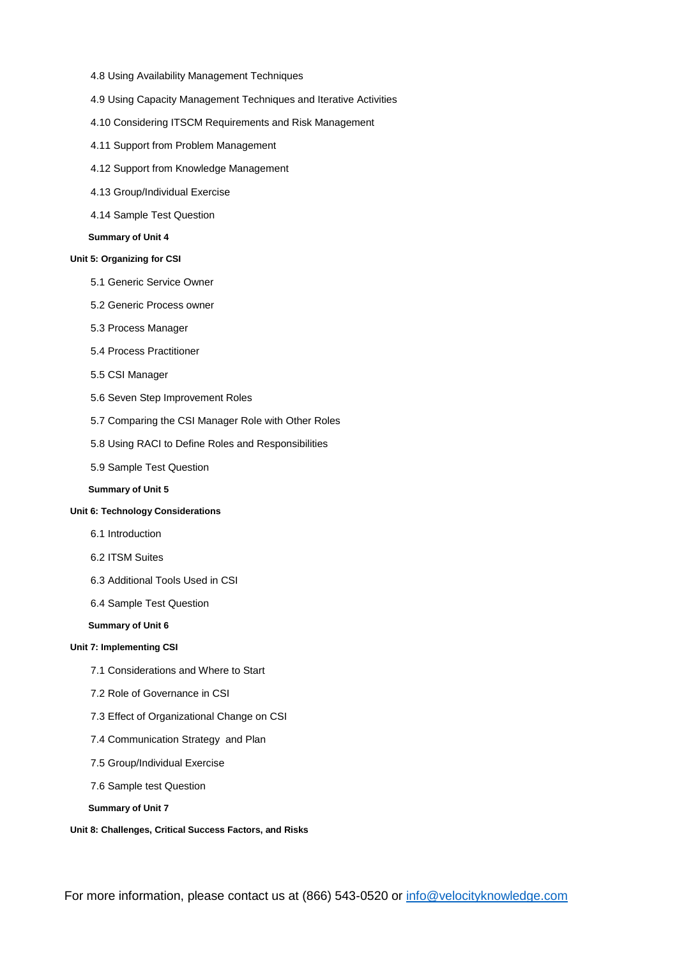- 4.8 Using Availability Management Techniques
- 4.9 Using Capacity Management Techniques and Iterative Activities
- 4.10 Considering ITSCM Requirements and Risk Management
- 4.11 Support from Problem Management
- 4.12 Support from Knowledge Management
- 4.13 Group/Individual Exercise
- 4.14 Sample Test Question

#### **Summary of Unit 4**

## **Unit 5: Organizing for CSI**

- 5.1 Generic Service Owner
- 5.2 Generic Process owner
- 5.3 Process Manager
- 5.4 Process Practitioner
- 5.5 CSI Manager
- 5.6 Seven Step Improvement Roles
- 5.7 Comparing the CSI Manager Role with Other Roles
- 5.8 Using RACI to Define Roles and Responsibilities
- 5.9 Sample Test Question

## **Summary of Unit 5**

## **Unit 6: Technology Considerations**

- 6.1 Introduction
- 6.2 ITSM Suites
- 6.3 Additional Tools Used in CSI
- 6.4 Sample Test Question

#### **Summary of Unit 6**

#### **Unit 7: Implementing CSI**

- 7.1 Considerations and Where to Start
- 7.2 Role of Governance in CSI
- 7.3 Effect of Organizational Change on CSI
- 7.4 Communication Strategy and Plan
- 7.5 Group/Individual Exercise
- 7.6 Sample test Question
- **Summary of Unit 7**

#### **Unit 8: Challenges, Critical Success Factors, and Risks**